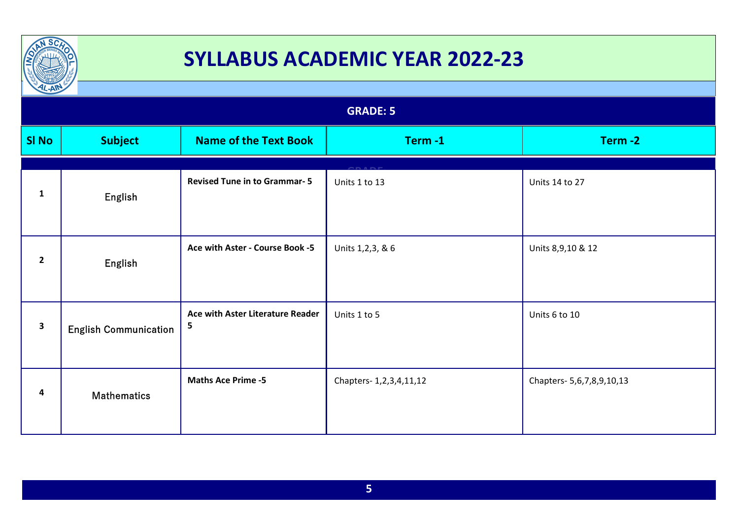

| $L-AW$          |                              |                                       |                              |                           |
|-----------------|------------------------------|---------------------------------------|------------------------------|---------------------------|
| <b>GRADE: 5</b> |                              |                                       |                              |                           |
| <b>SI No</b>    | <b>Subject</b>               | <b>Name of the Text Book</b>          | Term-1                       | Term-2                    |
| $\mathbf{1}$    | English                      | <b>Revised Tune in to Grammar-5</b>   | Units 1 to 13                | Units 14 to 27            |
| $\overline{2}$  | English                      | Ace with Aster - Course Book -5       | Units 1,2,3, & 6             | Units 8,9,10 & 12         |
| 3               | <b>English Communication</b> | Ace with Aster Literature Reader<br>5 | Units 1 to 5                 | Units 6 to 10             |
| 4               | <b>Mathematics</b>           | <b>Maths Ace Prime -5</b>             | Chapters- 1, 2, 3, 4, 11, 12 | Chapters- 5,6,7,8,9,10,13 |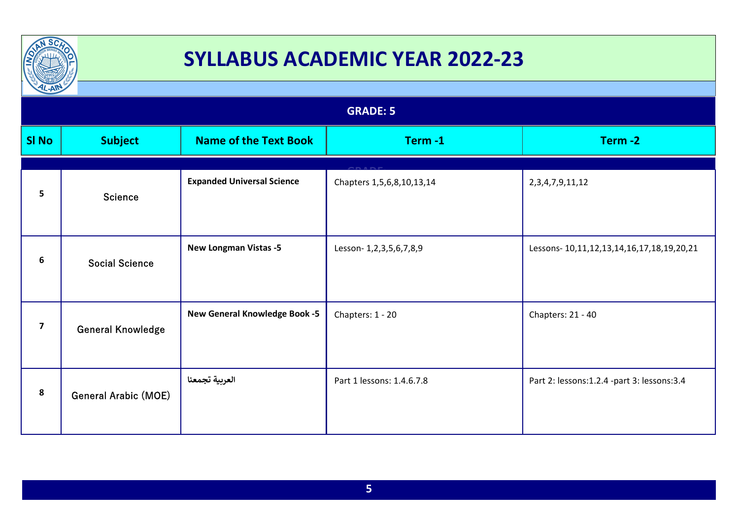

| $\frac{1}{2}$  |                             |                                      |                           |                                            |
|----------------|-----------------------------|--------------------------------------|---------------------------|--------------------------------------------|
|                | <b>GRADE: 5</b>             |                                      |                           |                                            |
| <b>SI No</b>   | <b>Subject</b>              | <b>Name of the Text Book</b>         | Term-1                    | Term-2                                     |
|                |                             |                                      |                           |                                            |
| 5              | <b>Science</b>              | <b>Expanded Universal Science</b>    | Chapters 1,5,6,8,10,13,14 | 2, 3, 4, 7, 9, 11, 12                      |
| 6              | <b>Social Science</b>       | <b>New Longman Vistas -5</b>         | Lesson- 1,2,3,5,6,7,8,9   | Lessons- 10,11,12,13,14,16,17,18,19,20,21  |
| $\overline{7}$ | <b>General Knowledge</b>    | <b>New General Knowledge Book -5</b> | Chapters: 1 - 20          | Chapters: 21 - 40                          |
| 8              | <b>General Arabic (MOE)</b> | العربية تجمعنا                       | Part 1 lessons: 1.4.6.7.8 | Part 2: lessons:1.2.4 -part 3: lessons:3.4 |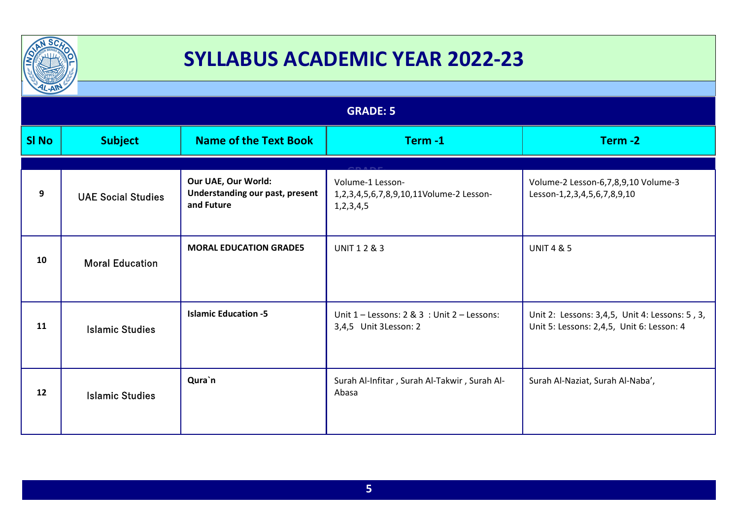

| $\frac{1}{2}$   |                           |                                                                      |                                                                              |                                                                                             |
|-----------------|---------------------------|----------------------------------------------------------------------|------------------------------------------------------------------------------|---------------------------------------------------------------------------------------------|
| <b>GRADE: 5</b> |                           |                                                                      |                                                                              |                                                                                             |
| <b>SI No</b>    | <b>Subject</b>            | <b>Name of the Text Book</b>                                         | Term-1                                                                       | Term-2                                                                                      |
|                 |                           |                                                                      |                                                                              |                                                                                             |
| 9               | <b>UAE Social Studies</b> | Our UAE, Our World:<br>Understanding our past, present<br>and Future | Volume-1 Lesson-<br>1,2,3,4,5,6,7,8,9,10,11Volume-2 Lesson-<br>1, 2, 3, 4, 5 | Volume-2 Lesson-6,7,8,9,10 Volume-3<br>Lesson-1,2,3,4,5,6,7,8,9,10                          |
| 10              | <b>Moral Education</b>    | <b>MORAL EDUCATION GRADE5</b>                                        | <b>UNIT 1 2 &amp; 3</b>                                                      | <b>UNIT 4 &amp; 5</b>                                                                       |
| 11              | <b>Islamic Studies</b>    | <b>Islamic Education -5</b>                                          | Unit 1 - Lessons: 2 & 3 : Unit 2 - Lessons:<br>3,4,5 Unit 3Lesson: 2         | Unit 2: Lessons: 3,4,5, Unit 4: Lessons: 5, 3,<br>Unit 5: Lessons: 2,4,5, Unit 6: Lesson: 4 |
| 12              | <b>Islamic Studies</b>    | Qura`n                                                               | Surah Al-Infitar, Surah Al-Takwir, Surah Al-<br>Abasa                        | Surah Al-Naziat, Surah Al-Naba',                                                            |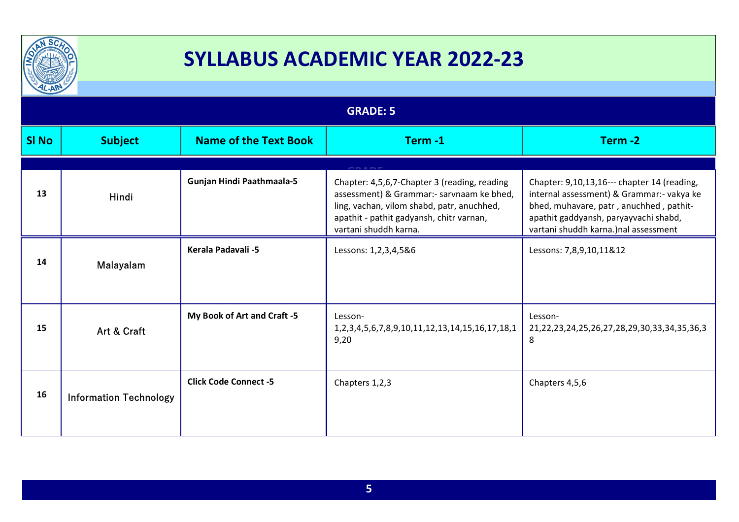

| $\frac{1}{2}$   |                               |                              |                                                                                                                                                                                                              |                                                                                                                                                                                                                       |
|-----------------|-------------------------------|------------------------------|--------------------------------------------------------------------------------------------------------------------------------------------------------------------------------------------------------------|-----------------------------------------------------------------------------------------------------------------------------------------------------------------------------------------------------------------------|
| <b>GRADE: 5</b> |                               |                              |                                                                                                                                                                                                              |                                                                                                                                                                                                                       |
| <b>SI No</b>    | <b>Subject</b>                | <b>Name of the Text Book</b> | Term-1                                                                                                                                                                                                       | Term-2                                                                                                                                                                                                                |
|                 |                               |                              |                                                                                                                                                                                                              |                                                                                                                                                                                                                       |
| 13              | Hindi                         | Gunjan Hindi Paathmaala-5    | Chapter: 4,5,6,7-Chapter 3 (reading, reading<br>assessment) & Grammar:- sarvnaam ke bhed,<br>ling, vachan, vilom shabd, patr, anuchhed,<br>apathit - pathit gadyansh, chitr varnan,<br>vartani shuddh karna. | Chapter: 9,10,13,16--- chapter 14 (reading,<br>internal assessment) & Grammar:- vakya ke<br>bhed, muhavare, patr, anuchhed, pathit-<br>apathit gaddyansh, paryayvachi shabd,<br>vartani shuddh karna.) nal assessment |
| 14              | Malayalam                     | Kerala Padavali -5           | Lessons: 1,2,3,4,5&6                                                                                                                                                                                         | Lessons: 7,8,9,10,11&12                                                                                                                                                                                               |
| 15              | Art & Craft                   | My Book of Art and Craft -5  | Lesson-<br>1, 2, 3, 4, 5, 6, 7, 8, 9, 10, 11, 12, 13, 14, 15, 16, 17, 18, 1<br>9,20                                                                                                                          | Lesson-<br>21, 22, 23, 24, 25, 26, 27, 28, 29, 30, 33, 34, 35, 36, 3<br>8                                                                                                                                             |
| 16              | <b>Information Technology</b> | <b>Click Code Connect -5</b> | Chapters 1,2,3                                                                                                                                                                                               | Chapters 4,5,6                                                                                                                                                                                                        |